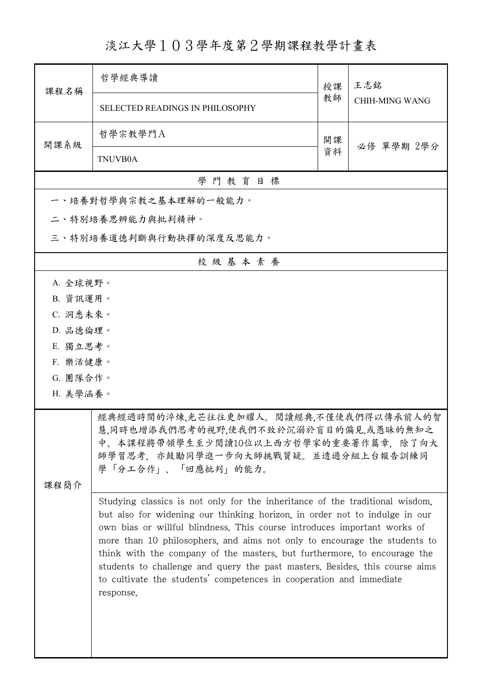## 淡江大學103學年度第2學期課程教學計畫表

| 課程名稱                                                                                                                                                                                        | 哲學經典導讀                                                                                                                                                                                                                                                                                                                                                                                                                                                                                                                                                             | 授課 | 王志銘<br><b>CHIH-MING WANG</b> |  |  |
|---------------------------------------------------------------------------------------------------------------------------------------------------------------------------------------------|--------------------------------------------------------------------------------------------------------------------------------------------------------------------------------------------------------------------------------------------------------------------------------------------------------------------------------------------------------------------------------------------------------------------------------------------------------------------------------------------------------------------------------------------------------------------|----|------------------------------|--|--|
|                                                                                                                                                                                             | <b>SELECTED READINGS IN PHILOSOPHY</b>                                                                                                                                                                                                                                                                                                                                                                                                                                                                                                                             | 教師 |                              |  |  |
| 開課系級                                                                                                                                                                                        | 哲學宗教學門A                                                                                                                                                                                                                                                                                                                                                                                                                                                                                                                                                            | 開課 |                              |  |  |
|                                                                                                                                                                                             | <b>TNUVB0A</b>                                                                                                                                                                                                                                                                                                                                                                                                                                                                                                                                                     | 資料 | 必修 單學期 2學分                   |  |  |
|                                                                                                                                                                                             | 學門教育目標                                                                                                                                                                                                                                                                                                                                                                                                                                                                                                                                                             |    |                              |  |  |
|                                                                                                                                                                                             | 一、培養對哲學與宗教之基本理解的一般能力。                                                                                                                                                                                                                                                                                                                                                                                                                                                                                                                                              |    |                              |  |  |
|                                                                                                                                                                                             | 二、特別培養思辨能力與批判精神。                                                                                                                                                                                                                                                                                                                                                                                                                                                                                                                                                   |    |                              |  |  |
|                                                                                                                                                                                             | 三、特別培養道德判斷與行動抉擇的深度反思能力。                                                                                                                                                                                                                                                                                                                                                                                                                                                                                                                                            |    |                              |  |  |
|                                                                                                                                                                                             | 校級基本素養                                                                                                                                                                                                                                                                                                                                                                                                                                                                                                                                                             |    |                              |  |  |
| A. 全球視野。                                                                                                                                                                                    |                                                                                                                                                                                                                                                                                                                                                                                                                                                                                                                                                                    |    |                              |  |  |
| B. 資訊運用。                                                                                                                                                                                    |                                                                                                                                                                                                                                                                                                                                                                                                                                                                                                                                                                    |    |                              |  |  |
| C. 洞悉未來。                                                                                                                                                                                    |                                                                                                                                                                                                                                                                                                                                                                                                                                                                                                                                                                    |    |                              |  |  |
| D. 品德倫理。                                                                                                                                                                                    |                                                                                                                                                                                                                                                                                                                                                                                                                                                                                                                                                                    |    |                              |  |  |
| E. 獨立思考。                                                                                                                                                                                    |                                                                                                                                                                                                                                                                                                                                                                                                                                                                                                                                                                    |    |                              |  |  |
| F. 樂活健康。                                                                                                                                                                                    |                                                                                                                                                                                                                                                                                                                                                                                                                                                                                                                                                                    |    |                              |  |  |
| G. 團隊合作。                                                                                                                                                                                    |                                                                                                                                                                                                                                                                                                                                                                                                                                                                                                                                                                    |    |                              |  |  |
| H. 美學涵養。                                                                                                                                                                                    |                                                                                                                                                                                                                                                                                                                                                                                                                                                                                                                                                                    |    |                              |  |  |
| 經典經過時間的淬煉,光芒往往更加耀人。閱讀經典,不僅使我們得以傳承前人的智<br>慧,同時也增添我們思考的視野,使我們不致於沉溺於盲目的偏見,或愚昧的無知之<br>中。本課程將帶領學生至少閱讀10位以上西方哲學家的重要著作篇章,除了向大<br>師學習思考, 亦鼓勵同學進一步向大師挑戰質疑。並透過分組上台報告訓練同<br>學「分工合作」、「回應批判」的能力。<br>课程简介 |                                                                                                                                                                                                                                                                                                                                                                                                                                                                                                                                                                    |    |                              |  |  |
|                                                                                                                                                                                             | Studying classics is not only for the inheritance of the traditional wisdom,<br>but also for widening our thinking horizon, in order not to indulge in our<br>own bias or willful blindness. This course introduces important works of<br>more than 10 philosophers, and aims not only to encourage the students to<br>think with the company of the masters, but furthermore, to encourage the<br>students to challenge and query the past masters. Besides, this course aims<br>to cultivate the students' competences in cooperation and immediate<br>response. |    |                              |  |  |

ı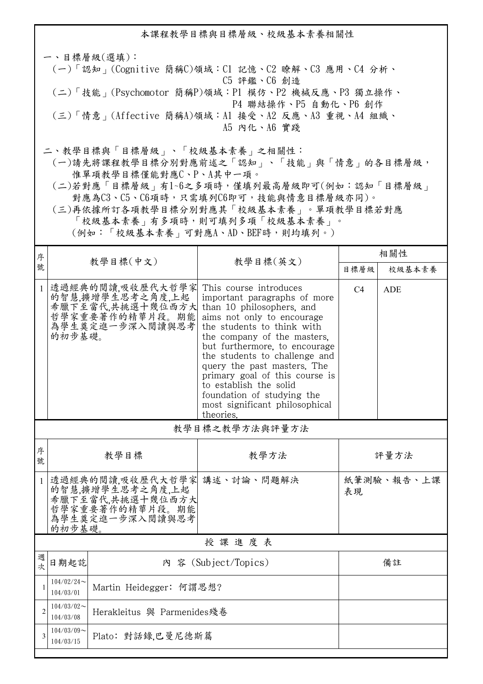本課程教學目標與目標層級、校級基本素養相關性 一、目標層級(選填): (一)「認知」(Cognitive 簡稱C)領域:C1 記憶、C2 瞭解、C3 應用、C4 分析、 C5 評鑑、C6 創造 (二)「技能」(Psychomotor 簡稱P)領域:P1 模仿、P2 機械反應、P3 獨立操作、 P4 聯結操作、P5 自動化、P6 創作 (三)「情意」(Affective 簡稱A)領域:A1 接受、A2 反應、A3 重視、A4 組織、 A5 內化、A6 實踐 二、教學目標與「目標層級」、「校級基本素養」之相關性: (一)請先將課程教學目標分別對應前述之「認知」、「技能」與「情意」的各目標層級, 惟單項教學目標僅能對應C、P、A其中一項。

- (二)若對應「目標層級」有1~6之多項時,僅填列最高層級即可(例如:認知「目標層級」 對應為C3、C5、C6項時,只需填列C6即可,技能與情意目標層級亦同)。
- (三)再依據所訂各項教學目標分別對應其「校級基本素養」。單項教學目標若對應 「校級基本素養」有多項時,則可填列多項「校級基本素養」。

(例如:「校級基本素養」可對應A、AD、BEF時,則均填列。)

| 序              |                                                                                                                 |                                                                                                |                                                                                                                                                                                                                                                                                                                                                                                                                          | 相關性            |            |
|----------------|-----------------------------------------------------------------------------------------------------------------|------------------------------------------------------------------------------------------------|--------------------------------------------------------------------------------------------------------------------------------------------------------------------------------------------------------------------------------------------------------------------------------------------------------------------------------------------------------------------------------------------------------------------------|----------------|------------|
| 號              |                                                                                                                 | 教學目標(中文)                                                                                       | 教學目標(英文)                                                                                                                                                                                                                                                                                                                                                                                                                 | 目標層級           | 校級基本素養     |
| $\mathbf{1}$   | 的初步基礎。                                                                                                          | 透過經典的閱讀,吸收歷代大哲學家<br>的智慧.擴增學生思考之角度.上起<br>希臘下至當代,共挑選十幾位西方大<br>哲學家重要著作的精華片段。期能<br>為學生奠定進一步深入閱讀與思考 | This course introduces<br>important paragraphs of more<br>than 10 philosophers, and<br>aims not only to encourage<br>the students to think with<br>the company of the masters.<br>but furthermore, to encourage<br>the students to challenge and<br>query the past masters. The<br>primary goal of this course is<br>to establish the solid<br>foundation of studying the<br>most significant philosophical<br>theories. | C <sub>4</sub> | <b>ADE</b> |
|                |                                                                                                                 |                                                                                                | 教學目標之教學方法與評量方法                                                                                                                                                                                                                                                                                                                                                                                                           |                |            |
| 序<br>號         | 教學目標                                                                                                            |                                                                                                | 教學方法                                                                                                                                                                                                                                                                                                                                                                                                                     | 評量方法           |            |
| $\mathbf{1}$   | 透過經典的閱讀,吸收歷代大哲學家 講述、討論、問題解決<br>的智慧,擴增學生思考之角度,上起大學、精神學生思考之角度,上起大<br>哲學家重要著作的精華片段。期能<br>為學生奠定進一步深入閱讀與思考<br>的初步基礎。 |                                                                                                |                                                                                                                                                                                                                                                                                                                                                                                                                          | 表現             | 紙筆測驗、報告、上課 |
| 授課進度表          |                                                                                                                 |                                                                                                |                                                                                                                                                                                                                                                                                                                                                                                                                          |                |            |
| 週<br>次         | 日期起訖<br>內 容 (Subject/Topics)                                                                                    |                                                                                                |                                                                                                                                                                                                                                                                                                                                                                                                                          | 備註             |            |
|                | $104/02/24$ ~<br>104/03/01                                                                                      | Martin Heidegger: 何謂思想?                                                                        |                                                                                                                                                                                                                                                                                                                                                                                                                          |                |            |
| $\overline{2}$ | $104/03/02$ ~<br>Herakleitus 與 Parmenides殘卷<br>104/03/08                                                        |                                                                                                |                                                                                                                                                                                                                                                                                                                                                                                                                          |                |            |
|                | $104/03/09$ ~<br>104/03/15                                                                                      | Plato: 對話錄,巴曼尼德斯篇                                                                              |                                                                                                                                                                                                                                                                                                                                                                                                                          |                |            |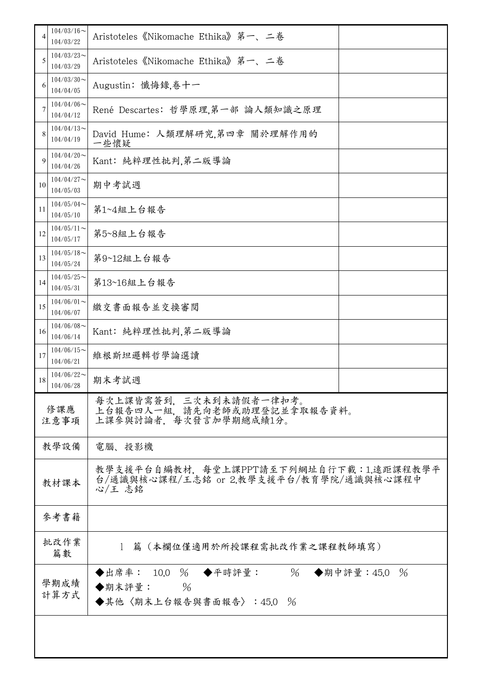| 4  | $104/03/16$ ~<br>104/03/22                                                                      | Aristoteles 《Nikomache Ethika》第一、二卷                                                          |  |
|----|-------------------------------------------------------------------------------------------------|----------------------------------------------------------------------------------------------|--|
| 5  | $104/03/23$ ~<br>104/03/29                                                                      | Aristoteles《Nikomache Ethika》第一、二卷                                                           |  |
| 6  | $104/03/30$ ~<br>104/04/05                                                                      | Augustin: 懺悔錄,卷十一                                                                            |  |
| 7  | $104/04/06 \sim$<br>104/04/12                                                                   | René Descartes: 哲學原理,第一部 論人類知識之原理                                                            |  |
| 8  | $104/04/13$ ~<br>104/04/19                                                                      | David Hume: 人類理解研究,第四章 關於理解作用的<br>一些懷疑                                                       |  |
| 9  | $104/04/20$ ~<br>104/04/26                                                                      | Kant: 純粹理性批判,第二版導論                                                                           |  |
| 10 | $104/04/27$ ~<br>104/05/03                                                                      | 期中考試週                                                                                        |  |
| 11 | $104/05/04$ ~<br>104/05/10                                                                      | 第1~4組上台報告                                                                                    |  |
| 12 | $104/05/11$ ~<br>104/05/17                                                                      | 第5~8組上台報告                                                                                    |  |
| 13 | $104/05/18$ ~<br>104/05/24                                                                      | 第9~12組上台報告                                                                                   |  |
| 14 | $104/05/25$ ~<br>104/05/31                                                                      | 第13~16組上台報告                                                                                  |  |
| 15 | $104/06/01$ ~<br>104/06/07                                                                      | 繳交書面報告並交換審閱                                                                                  |  |
| 16 | $104/06/08$ ~<br>104/06/14                                                                      | Kant: 純粹理性批判,第二版導論                                                                           |  |
| 17 | $104/06/15$ ~<br>104/06/21                                                                      | 維根斯坦邏輯哲學論選讀                                                                                  |  |
| 18 | $104/06/22$ ~<br>104/06/28                                                                      | 期末考試週                                                                                        |  |
|    | 每次上課皆需簽到, 三次未到未請假者一律扣考。<br>上台報告四人一組, 請先向老師或助理登記並拿取報告資料。<br>修課應<br>上課參與討論者,每次發言加學期總成績1分。<br>注意事項 |                                                                                              |  |
|    | 教學設備                                                                                            | 電腦、投影機                                                                                       |  |
|    | 教材課本                                                                                            | 教學支援平台自編教材,每堂上課PPT請至下列網址自行下載:1.遠距課程教學平<br>台/通識與核心課程/王志銘 or 2.教學支援平台/教育學院/通識與核心課程中<br>心/王 志銘  |  |
|    | 參考書籍                                                                                            |                                                                                              |  |
|    | 批改作業<br>篇數                                                                                      | 1 篇 (本欄位僅適用於所授課程需批改作業之課程教師填寫)                                                                |  |
|    | 學期成績<br>計算方式                                                                                    | ◆出席率: 10.0 % ◆平時評量:<br>% ◆期中評量: 45.0<br>$\frac{0}{6}$<br>◆期末評量: %<br>◆其他〈期末上台報告與書面報告〉:45.0 % |  |
|    |                                                                                                 |                                                                                              |  |